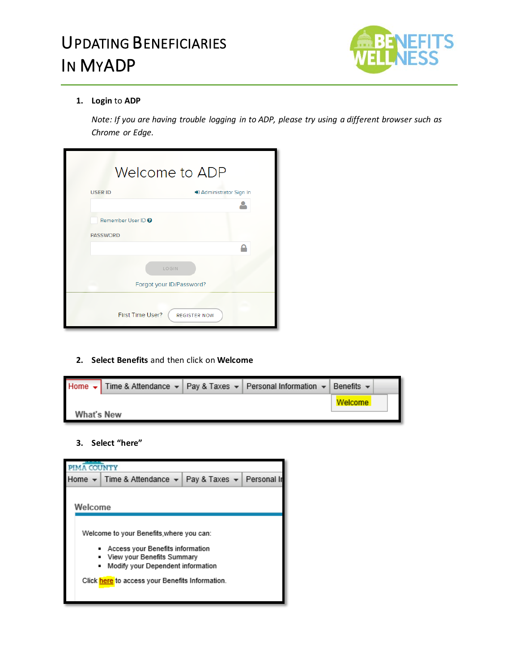

#### **1. Login** to **ADP**

*Note: If you are having trouble logging in to ADP, please try using a different browser such as Chrome or Edge.*

|                               | Welcome to ADP           |
|-------------------------------|--------------------------|
| <b>USER ID</b>                | +3 Administrator Sign In |
|                               |                          |
| Remember User ID <sup>O</sup> |                          |
| <b>PASSWORD</b>               |                          |
|                               |                          |
|                               | LOGIN                    |
|                               | Forgot your ID/Password? |
| First Time User?              | <b>REGISTER NOW</b>      |

#### **2. Select Benefits** and then click on **Welcome**

|            |  | Home $\star$ Time & Attendance $\star$   Pay & Taxes $\star$   Personal Information $\star$   Benefits $\star$ |         |  |
|------------|--|----------------------------------------------------------------------------------------------------------------|---------|--|
|            |  |                                                                                                                | Welcome |  |
| What's New |  |                                                                                                                |         |  |

#### **3. Select "here"**

|         | Home ▼   Time & Attendance ▼   Pay & Taxes ▼   Personal In      |  |  |  |  |  |
|---------|-----------------------------------------------------------------|--|--|--|--|--|
|         |                                                                 |  |  |  |  |  |
| Welcome |                                                                 |  |  |  |  |  |
|         |                                                                 |  |  |  |  |  |
|         | Welcome to your Benefits.where you can:                         |  |  |  |  |  |
|         |                                                                 |  |  |  |  |  |
|         | Access your Benefits information                                |  |  |  |  |  |
|         | View your Benefits Summary<br>Modify your Dependent information |  |  |  |  |  |
|         |                                                                 |  |  |  |  |  |
|         | Click here to access your Benefits Information.                 |  |  |  |  |  |
|         |                                                                 |  |  |  |  |  |
|         |                                                                 |  |  |  |  |  |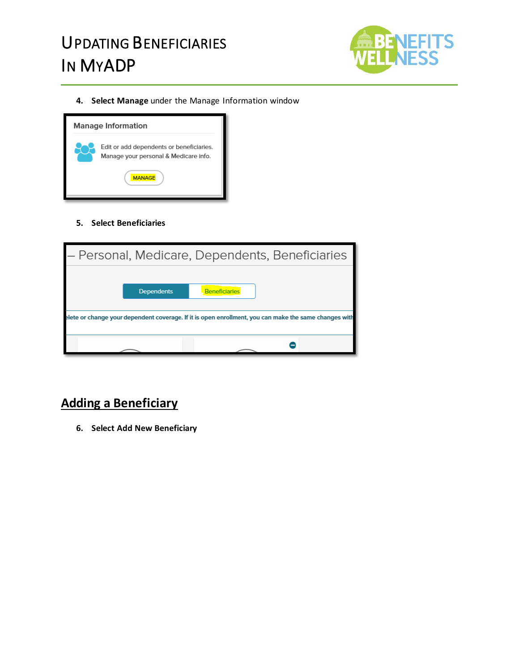

**4. Select Manage** under the Manage Information window



**5. Select Beneficiaries**

| – Personal, Medicare, Dependents, Beneficiaries |                   |                                                                                                       |  |  |  |
|-------------------------------------------------|-------------------|-------------------------------------------------------------------------------------------------------|--|--|--|
|                                                 |                   |                                                                                                       |  |  |  |
|                                                 | <b>Dependents</b> | <b>Beneficiaries</b>                                                                                  |  |  |  |
|                                                 |                   | elete or change your dependent coverage. If it is open enrollment, you can make the same changes with |  |  |  |
|                                                 |                   |                                                                                                       |  |  |  |

### **Adding a Beneficiary**

**6. Select Add New Beneficiary**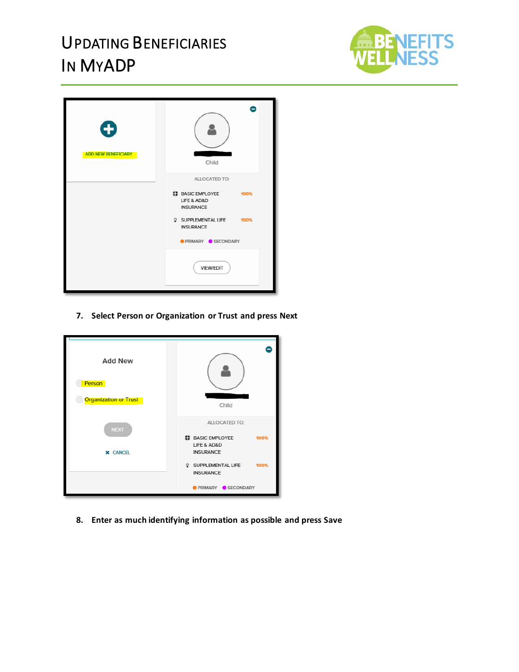

| O<br><b>ADD NEW BENEFICIARY</b> | Child                                                     |  |  |
|---------------------------------|-----------------------------------------------------------|--|--|
|                                 | ALLOCATED TO:                                             |  |  |
|                                 | ED BASIC EMPLOYEE 100%<br>LIFE & AD&D<br><b>INSURANCE</b> |  |  |
|                                 | SUPPLEMENTAL LIFE 100%<br><b>INSURANCE</b>                |  |  |
|                                 | <b>PRIMARY SECONDARY</b>                                  |  |  |
|                                 | VIEW/EDIT                                                 |  |  |

**7. Select Person or Organization or Trust and press Next**

| <b>Add New</b><br>Person<br><b>Organization or Trust</b> | Child                                                            |  |  |
|----------------------------------------------------------|------------------------------------------------------------------|--|--|
| <b>NEXT</b>                                              | ALLOCATED TO:<br><b>ET BASIC EMPLOYEE</b><br>100%<br>LIFE & AD&D |  |  |
| <b>X</b> CANCEL                                          | <b>INSURANCE</b><br>100%<br>SUPPLEMENTAL LIFE                    |  |  |
|                                                          | <b>INSURANCE</b><br>PRIMARY SECONDARY                            |  |  |

**8. Enter as much identifying information as possible and press Save**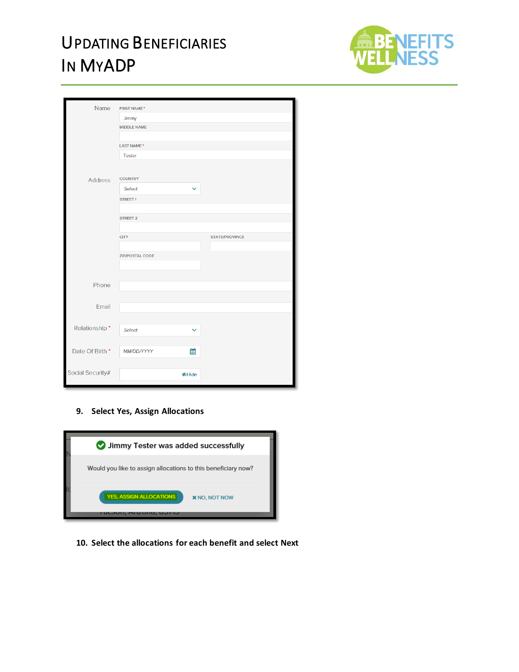

| Name             | FIRST NAME*            |                     |                |
|------------------|------------------------|---------------------|----------------|
|                  | Jimmy                  |                     |                |
|                  | MIDDLE NAME            |                     |                |
|                  |                        |                     |                |
|                  | LAST NAME <sup>*</sup> |                     |                |
|                  | Tester                 |                     |                |
|                  |                        |                     |                |
| Address          | <b>COUNTRY</b>         |                     |                |
|                  | Select                 | $\checkmark$        |                |
|                  | STREET 1               |                     |                |
|                  |                        |                     |                |
|                  | STREET 2               |                     |                |
|                  |                        |                     |                |
|                  | <b>CITY</b>            |                     | STATE/PROVINCE |
|                  |                        |                     |                |
|                  | ZIP/POSTAL CODE        |                     |                |
|                  |                        |                     |                |
| Phone            |                        |                     |                |
|                  |                        |                     |                |
| Email            |                        |                     |                |
|                  |                        |                     |                |
|                  |                        |                     |                |
| Relationship*    | Select                 | $\checkmark$        |                |
|                  |                        |                     |                |
| Date Of Birth *  | MM/DD/YYYY             | 鯩                   |                |
|                  |                        |                     |                |
| Social Security# |                        | <b><i>DHide</i></b> |                |
|                  |                        |                     |                |

#### **9. Select Yes, Assign Allocations**



**10. Select the allocations for each benefit and select Next**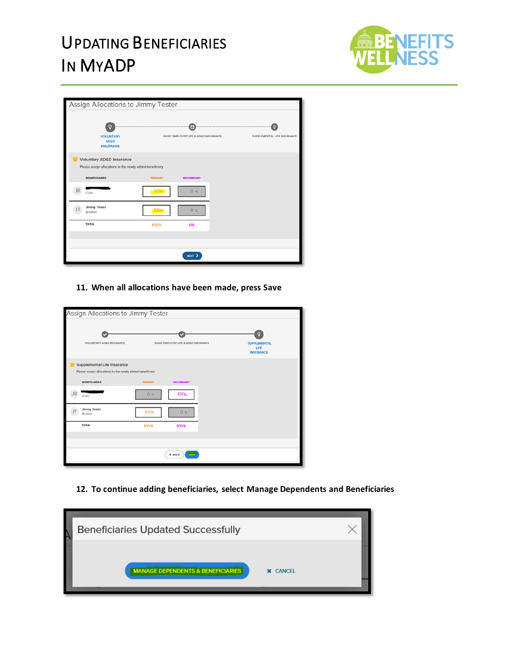

| Assign Allocations to Jimmy Tester                                               |                |                                           |                             |  |  |
|----------------------------------------------------------------------------------|----------------|-------------------------------------------|-----------------------------|--|--|
| <b>VOLUNTARY</b><br><b>AD&amp;D</b><br><b>INSURANCE</b>                          |                | Œ<br>BASIC EMPLOYEE LIFE & AD&D INSURANCE | SUPPLEMENTAL LIFE INSURANCE |  |  |
| <b>Voluntary AD&amp;D Insurance</b>                                              |                |                                           |                             |  |  |
| Please assign allocations to the newly added beneficiary<br><b>BENEFICIARIES</b> | <b>PRIMARY</b> | <b>SECONDARY</b>                          |                             |  |  |
| Child                                                                            | 50%            | 0 <sup>8</sup>                            |                             |  |  |
| <b>Jimmy Tester</b><br>Brother                                                   |                | 0 <sup>95</sup>                           |                             |  |  |
| <b>TOTAL</b>                                                                     | 100%           | 0%                                        |                             |  |  |
|                                                                                  |                |                                           |                             |  |  |
|                                                                                  |                |                                           |                             |  |  |
|                                                                                  |                | NEXT <sub>&gt;</sub>                      |                             |  |  |

**11. When all allocations have been made, press Save**

| Assign Allocations to Jimmy Tester                                                      |                  |                                      |  |                                                 |  |
|-----------------------------------------------------------------------------------------|------------------|--------------------------------------|--|-------------------------------------------------|--|
| VOLUNTARY AD&D INSURANCE                                                                |                  | BASIC EMPLOYEE LIFE & AD&D INSURANCE |  | <b>SUPPLEMENTAL</b><br>LIFE<br><b>INSURANCE</b> |  |
| Supplemental Life Insurance<br>Please assign allocations to the newly added beneficiary |                  |                                      |  |                                                 |  |
| <b>BENEFICIARIES</b>                                                                    | <b>PRIMARY</b>   | <b>SECONDARY</b>                     |  |                                                 |  |
| Child                                                                                   | 0 <sup>5</sup>   | 100 <sub>%</sub>                     |  |                                                 |  |
| <b>Jimmy Tester</b><br>Brother                                                          | 100 <sub>%</sub> | 0 <sub>35</sub>                      |  |                                                 |  |
| TOTAL                                                                                   | 100%             | 100%                                 |  |                                                 |  |
|                                                                                         |                  |                                      |  |                                                 |  |
|                                                                                         |                  |                                      |  |                                                 |  |
| <b>SAVE</b><br>₹ BACK                                                                   |                  |                                      |  |                                                 |  |
|                                                                                         |                  |                                      |  |                                                 |  |

**12. To continue adding beneficiaries, select Manage Dependents and Beneficiaries**

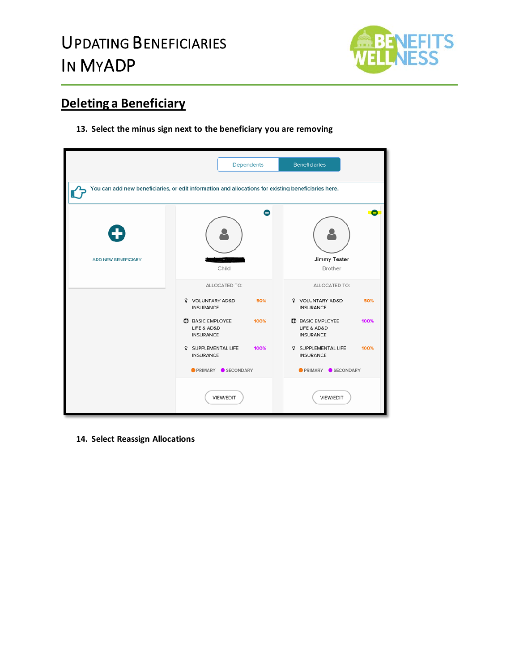

### **Deleting a Beneficiary**

**13. Select the minus sign next to the beneficiary you are removing**



**14. Select Reassign Allocations**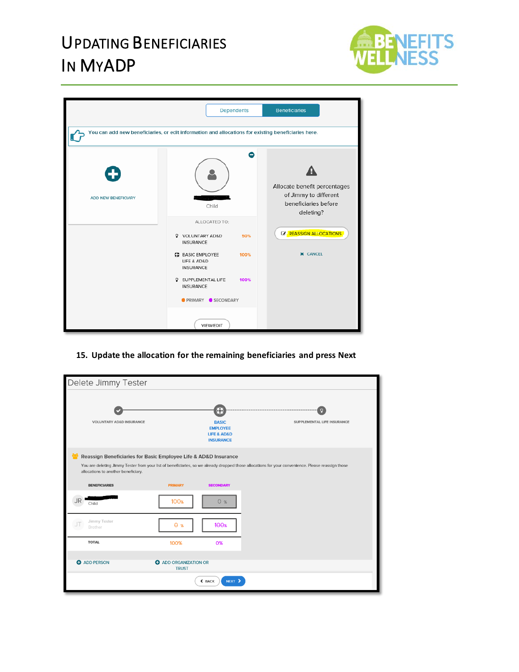

|                                 |                                                                                                     | Dependents | <b>Beneficiaries</b>                                                                       |  |  |  |  |
|---------------------------------|-----------------------------------------------------------------------------------------------------|------------|--------------------------------------------------------------------------------------------|--|--|--|--|
|                                 | You can add new beneficiaries, or edit information and allocations for existing beneficiaries here. |            |                                                                                            |  |  |  |  |
| ◆<br><b>ADD NEW BENEFICIARY</b> | Child                                                                                               | Θ          | Allocate benefit percentages<br>of Jimmy to different<br>beneficiaries before<br>deleting? |  |  |  |  |
|                                 | ALLOCATED TO:<br>VOLUNTARY AD&D<br><b>INSURANCE</b>                                                 | 50%        | <b>E' REASSIGN ALLOCATIONS</b>                                                             |  |  |  |  |
|                                 | <b># BASIC EMPLOYEE</b><br>LIFE & AD&D<br><b>INSURANCE</b>                                          | 100%       | <b>X</b> CANCEL                                                                            |  |  |  |  |
|                                 | SUPPLEMENTAL LIFE<br>Q<br><b>INSURANCE</b>                                                          | 100%       |                                                                                            |  |  |  |  |
|                                 | <b>OPRIMARY OSECONDARY</b>                                                                          |            |                                                                                            |  |  |  |  |
|                                 | VIEW/EDIT                                                                                           |            |                                                                                            |  |  |  |  |

**15. Update the allocation for the remaining beneficiaries and press Next**

| Delete Jimmy Tester                                                                                    |                                              |                                                                                        |                                                                                                                                                    |
|--------------------------------------------------------------------------------------------------------|----------------------------------------------|----------------------------------------------------------------------------------------|----------------------------------------------------------------------------------------------------------------------------------------------------|
| <b>VOLUNTARY AD&amp;D INSURANCE</b>                                                                    |                                              | O<br><b>BASIC</b><br><b>EMPLOYEE</b><br><b>LIFE &amp; AD&amp;D</b><br><b>INSURANCE</b> | $\Omega$<br>SUPPLEMENTAL LIFE INSURANCE                                                                                                            |
| Reassign Beneficiaries for Basic Employee Life & AD&D Insurance<br>allocations to another beneficiary. |                                              |                                                                                        | You are deleting Jimmy Tester from your list of beneficiaries, so we already dropped those allocations for your convenience. Please reassign those |
| <b>BENEFICIARIES</b>                                                                                   | <b>PRIMARY</b>                               | <b>SECONDARY</b>                                                                       |                                                                                                                                                    |
| Child                                                                                                  | <b>100%</b>                                  | 0 <sub>%</sub>                                                                         |                                                                                                                                                    |
| Jimmy Tester<br>JΤ<br>Brother                                                                          | $\theta$ %                                   | 100 <sub>%</sub>                                                                       |                                                                                                                                                    |
| <b>TOTAL</b>                                                                                           | 100%                                         | 0%                                                                                     |                                                                                                                                                    |
| <b>O</b> ADD PERSON                                                                                    | <b>O</b> ADD ORGANIZATION OR<br><b>TRUST</b> |                                                                                        |                                                                                                                                                    |
|                                                                                                        |                                              | ← BACK<br>NEXT >                                                                       |                                                                                                                                                    |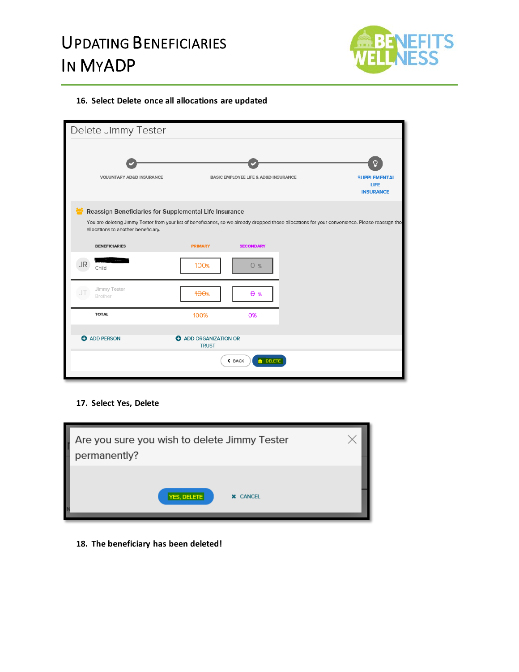

#### **16. Select Delete once all allocations are updated**

| Delete Jimmy Tester                                                                                                                                                                                         |                                              |                                                     |                                                      |
|-------------------------------------------------------------------------------------------------------------------------------------------------------------------------------------------------------------|----------------------------------------------|-----------------------------------------------------|------------------------------------------------------|
| <b>VOLUNTARY AD&amp;D INSURANCE</b>                                                                                                                                                                         |                                              | <b>BASIC EMPLOYEE LIFE &amp; AD&amp;D INSURANCE</b> | Ω<br><b>SUPPLEMENTAL</b><br>LIFE<br><b>INSURANCE</b> |
| Reassign Beneficiaries for Supplemental Life Insurance<br>You are deleting Jimmy Tester from your list of beneficiaries, so we already dropped those allocations for your convenience. Please reassign tho: |                                              |                                                     |                                                      |
| allocations to another beneficiary.<br><b>BENEFICIARIES</b>                                                                                                                                                 | <b>PRIMARY</b>                               | <b>SECONDARY</b>                                    |                                                      |
| Child                                                                                                                                                                                                       | <b>100%</b>                                  | 0 <sup>%</sup>                                      |                                                      |
| Jimmy Tester<br>Brother                                                                                                                                                                                     | 100%                                         | $\theta$ %                                          |                                                      |
| <b>TOTAL</b>                                                                                                                                                                                                | 100%                                         | 0%                                                  |                                                      |
| <b>O</b> ADD PERSON                                                                                                                                                                                         | <b>O</b> ADD ORGANIZATION OR<br><b>TRUST</b> |                                                     |                                                      |
|                                                                                                                                                                                                             |                                              | <b>n</b> DELETE<br>$\xi$ BACK                       |                                                      |

#### **17. Select Yes, Delete**



**18. The beneficiary has been deleted!**